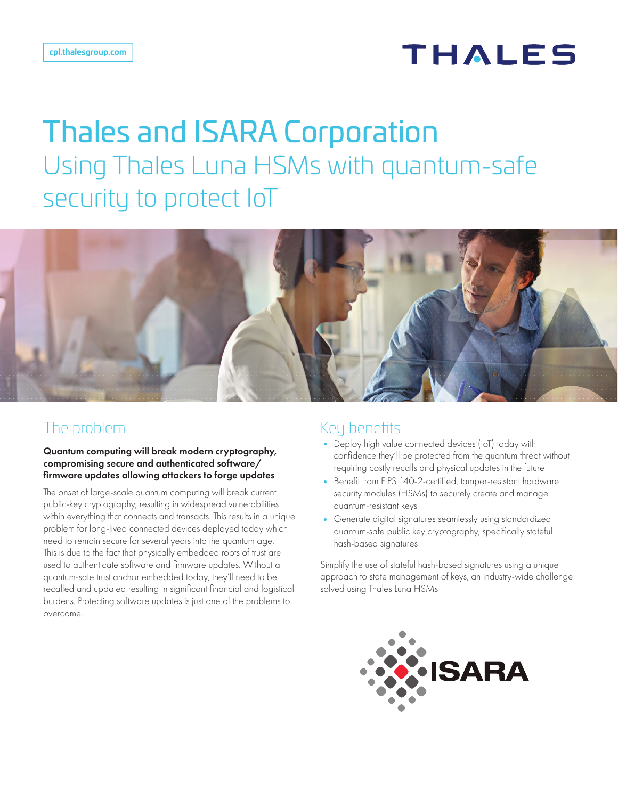## **THALES**

# Thales and ISARA Corporation Using Thales Luna HSMs with quantum-safe security to protect IoT



### The problem

Quantum computing will break modern cryptography, compromising secure and authenticated software/ firmware updates allowing attackers to forge updates

The onset of large-scale quantum computing will break current public-key cryptography, resulting in widespread vulnerabilities within everything that connects and transacts. This results in a unique problem for long-lived connected devices deployed today which need to remain secure for several years into the quantum age. This is due to the fact that physically embedded roots of trust are used to authenticate software and firmware updates. Without a quantum-safe trust anchor embedded today, they'll need to be recalled and updated resulting in significant financial and logistical burdens. Protecting software updates is just one of the problems to overcome.

### Key benefits

- Deploy high value connected devices (IoT) today with confidence they'll be protected from the quantum threat without requiring costly recalls and physical updates in the future
- Benefit from FIPS 140-2-certified, tamper-resistant hardware security modules (HSMs) to securely create and manage quantum-resistant keys
- Generate digital signatures seamlessly using standardized quantum-safe public key cryptography, specifically stateful hash-based signatures

Simplify the use of stateful hash-based signatures using a unique approach to state management of keys, an industry-wide challenge solved using Thales Luna HSMs